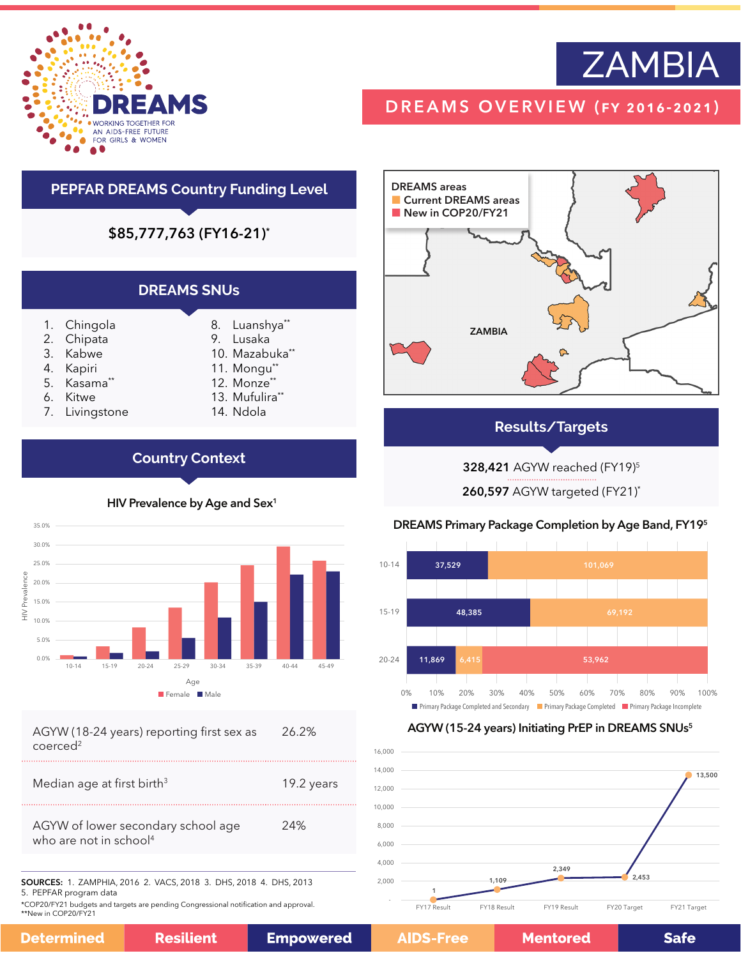

# **ZAMBIA**

# DREAMS OVERVIEW (fy 2016-2021)



## **Results/Targets**

328,421 AGYW reached (FY19)5

260,597 AGYW targeted (FY21)\*

## DREAMS Primary Package Completion by Age Band, FY195



### AGYW (15-24 years) Initiating PrEP in DREAMS SNUs<sup>5</sup>



# **PEPFAR DREAMS Country Funding Level**

\$85,777,763 (FY16-21)\*

| <b>DREAMS SNUS</b> |                                                                                              |
|--------------------|----------------------------------------------------------------------------------------------|
|                    | 8. Luanshya**<br>9. Lusaka<br>10. Mazabuka**<br>11. Mongu**<br>12. Monze**<br>13. Mufulira** |

14. Ndola

6. Kitwe 7. Livingstone

1. Chingola 2. Chipata 3. Kabwe 4. Kapiri 5. Kasama\*\*

**Country Context**



HIV Prevalence by Age and Sex<sup>1</sup>

AGYW (18-24 years) reporting first sex as coerced<sup>2</sup> 26.2%

| Median age at first birth <sup>3</sup>                                   | 19.2 years |
|--------------------------------------------------------------------------|------------|
| AGYW of lower secondary school age<br>who are not in school <sup>4</sup> | 24%        |
|                                                                          |            |

SOURCES: 1. ZAMPHIA, 2016 2. VACS, 2018 3. DHS, 2018 4. DHS, 2013 5. PEPFAR program data

\*COP20/FY21 budgets and targets are pending Congressional notification and approval. \*\*New in COP20/FY21

|--|

D

**Mentored** 

**Safe**